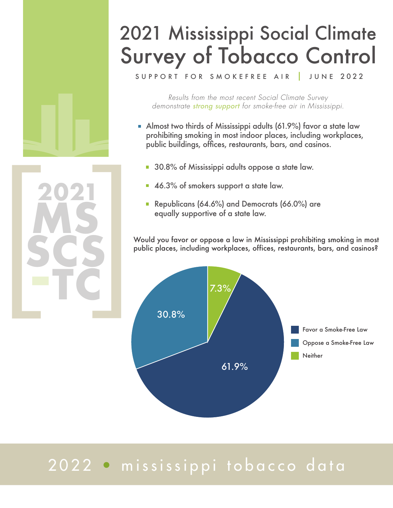## 2021 Mississippi Social Climate Survey of Tobacco Control

SUPPORT FOR SMOKEFREE AIR JUNE 2022

*Results from the most recent Social Climate Survey demonstrate strong support for smoke-free air in Mississippi.* 

- Almost two thirds of Mississippi adults (61.9%) favor a state law prohibiting smoking in most indoor places, including workplaces, public buildings, offices, restaurants, bars, and casinos.
	- 30.8% of Mississippi adults oppose a state law.
	- 46.3% of smokers support a state law.

**ms**

**scs**

**-tc**

Republicans (64.6%) and Democrats (66.0%) are equally supportive of a state law.

Would you favor or oppose a law in Mississippi prohibiting smoking in most public places, including workplaces, offices, restaurants, bars, and casinos?



### 2022 • mississippi tobacco data